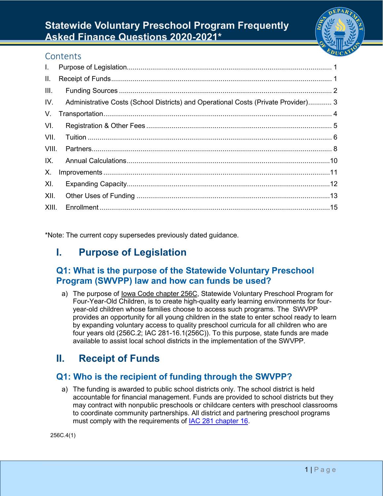

# **Statewide Voluntary Preschool Program Frequently Asked Finance Questions 2020-2021\***

#### **Contents**

| $\mathbf{L}$ |                                                                                    |  |
|--------------|------------------------------------------------------------------------------------|--|
| Ш.           |                                                                                    |  |
| III.         |                                                                                    |  |
| IV.          | Administrative Costs (School Districts) and Operational Costs (Private Provider) 3 |  |
| V.           |                                                                                    |  |
| VI.          |                                                                                    |  |
| VII.         |                                                                                    |  |
| VIII.        |                                                                                    |  |
| IX.          |                                                                                    |  |
| Χ.           |                                                                                    |  |
| XI.          |                                                                                    |  |
| XII.         |                                                                                    |  |
| XIII.        |                                                                                    |  |

<span id="page-0-0"></span>\*Note: The current copy supersedes previously dated guidance.

## **I. Purpose of Legislation**

#### **Q1: What is the purpose of the Statewide Voluntary Preschool Program (SWVPP) law and how can funds be used?**

a) The purpose of [Iowa](http://www.legis.iowa.gov/DOCS/ACO/IAC/LINC/Chapter.281.16.pdf) Code chapter 256C, Statewide Voluntary Preschool Program for Four-Year-Old Children, is to create high-quality early learning environments for fouryear-old children whose families choose to access such programs. The SWVPP provides an opportunity for all young children in the state to enter school ready to learn by expanding voluntary access to quality preschool curricula for all children who are four years old (256C.2; IAC 281-16.1(256C)). To this purpose, state funds are made available to assist local school districts in the implementation of the SWVPP.

## <span id="page-0-1"></span>**II. Receipt of Funds**

## **Q1: Who is the recipient of funding through the SWVPP?**

a) The funding is awarded to public school districts only. The school district is held accountable for financial management. Funds are provided to school districts but they may contract with nonpublic preschools or childcare centers with preschool classrooms to coordinate community partnerships. All district and partnering preschool programs must comply with the requirements of **IAC 281 chapter 16**.

256C.4(1)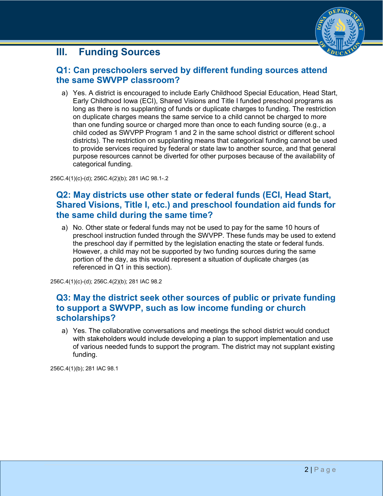## <span id="page-1-0"></span>**III. Funding Sources**



#### **Q1: Can preschoolers served by different funding sources attend the same SWVPP classroom?**

a) Yes. A district is encouraged to include Early Childhood Special Education, Head Start, Early Childhood Iowa (ECI), Shared Visions and Title I funded preschool programs as long as there is no supplanting of funds or duplicate charges to funding. The restriction on duplicate charges means the same service to a child cannot be charged to more than one funding source or charged more than once to each funding source (e.g., a child coded as SWVPP Program 1 and 2 in the same school district or different school districts). The restriction on supplanting means that categorical funding cannot be used to provide services required by federal or state law to another source, and that general purpose resources cannot be diverted for other purposes because of the availability of categorical funding.

256C.4(1)(c)-(d); 256C.4(2)(b); 281 IAC 98.1-.2

## **Q2: May districts use other state or federal funds (ECI, Head Start, Shared Visions, Title I, etc.) and preschool foundation aid funds for the same child during the same time?**

a) No. Other state or federal funds may not be used to pay for the same 10 hours of preschool instruction funded through the SWVPP. These funds may be used to extend the preschool day if permitted by the legislation enacting the state or federal funds. However, a child may not be supported by two funding sources during the same portion of the day, as this would represent a situation of duplicate charges (as referenced in Q1 in this section).

256C.4(1)(c)-(d); 256C.4(2)(b); 281 IAC 98.2

### **Q3: May the district seek other sources of public or private funding to support a SWVPP, such as low income funding or church scholarships?**

a) Yes. The collaborative conversations and meetings the school district would conduct with stakeholders would include developing a plan to support implementation and use of various needed funds to support the program. The district may not supplant existing funding.

<span id="page-1-1"></span>256C.4(1)(b); 281 IAC 98.1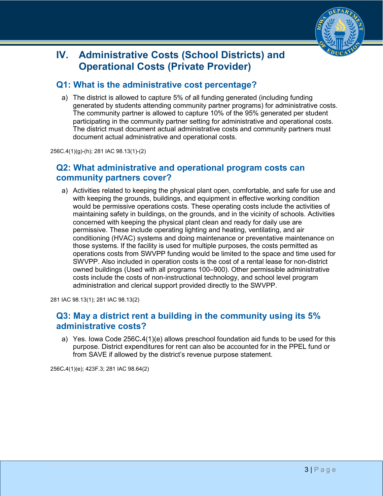

# **IV. Administrative Costs (School Districts) and Operational Costs (Private Provider)**

#### **Q1: What is the administrative cost percentage?**

a) The district is allowed to capture 5% of all funding generated (including funding generated by students attending community partner programs) for administrative costs. The community partner is allowed to capture 10% of the 95% generated per student participating in the community partner setting for administrative and operational costs. The district must document actual administrative costs and community partners must document actual administrative and operational costs.

256C.4(1)(g)-(h); 281 IAC 98.13(1)-(2)

### **Q2: What administrative and operational program costs can community partners cover?**

a) Activities related to keeping the physical plant open, comfortable, and safe for use and with keeping the grounds, buildings, and equipment in effective working condition would be permissive operations costs. These operating costs include the activities of maintaining safety in buildings, on the grounds, and in the vicinity of schools. Activities concerned with keeping the physical plant clean and ready for daily use are permissive. These include operating lighting and heating, ventilating, and air conditioning (HVAC) systems and doing maintenance or preventative maintenance on those systems. If the facility is used for multiple purposes, the costs permitted as operations costs from SWVPP funding would be limited to the space and time used for SWVPP. Also included in operation costs is the cost of a rental lease for non-district owned buildings (Used with all programs 100–900). Other permissible administrative costs include the costs of non-instructional technology, and school level program administration and clerical support provided directly to the SWVPP.

281 IAC 98.13(1); 281 IAC 98.13(2)

#### **Q3: May a district rent a building in the community using its 5% administrative costs?**

a) Yes. Iowa Code 256C**.**4(1)(e) allows preschool foundation aid funds to be used for this purpose. District expenditures for rent can also be accounted for in the PPEL fund or from SAVE if allowed by the district's revenue purpose statement.

256C**.**4(1)(e); 423F.3; 281 IAC 98.64(2)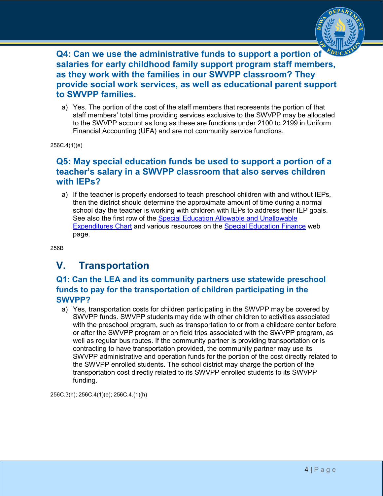

**Q4: Can we use the administrative funds to support a portion of salaries for early childhood family support program staff members, as they work with the families in our SWVPP classroom? They provide social work services, as well as educational parent support to SWVPP families.**

a) Yes. The portion of the cost of the staff members that represents the portion of that staff members' total time providing services exclusive to the SWVPP may be allocated to the SWVPP account as long as these are functions under 2100 to 2199 in Uniform Financial Accounting (UFA) and are not community service functions.

256C**.**4(1)(e)

#### **Q5: May special education funds be used to support a portion of a teacher's salary in a SWVPP classroom that also serves children with IEPs?**

a) If the teacher is properly endorsed to teach preschool children with and without IEPs, then the district should determine the approximate amount of time during a normal school day the teacher is working with children with IEPs to address their IEP goals. See also the first row of the [Special Education Allowable and Unallowable](https://educateiowa.gov/documents/special-education/2014/01/special-ed-allowable-and-unallowable-expenditures-chart)  [Expenditures Chart](https://educateiowa.gov/documents/special-education/2014/01/special-ed-allowable-and-unallowable-expenditures-chart) and various resources on the [Special Education Finance](https://educateiowa.gov/pk-12/school-business-and-finance/special-education/special-education-finance) web page.

256B

# <span id="page-3-0"></span>**V. Transportation**

#### **Q1: Can the LEA and its community partners use statewide preschool funds to pay for the transportation of children participating in the SWVPP?**

a) Yes, transportation costs for children participating in the SWVPP may be covered by SWVPP funds. SWVPP students may ride with other children to activities associated with the preschool program, such as transportation to or from a childcare center before or after the SWVPP program or on field trips associated with the SWVPP program, as well as regular bus routes. If the community partner is providing transportation or is contracting to have transportation provided, the community partner may use its SWVPP administrative and operation funds for the portion of the cost directly related to the SWVPP enrolled students. The school district may charge the portion of the transportation cost directly related to its SWVPP enrolled students to its SWVPP funding.

256C.3(h); 256C.4(1)(e); 256C.4.(1)(h)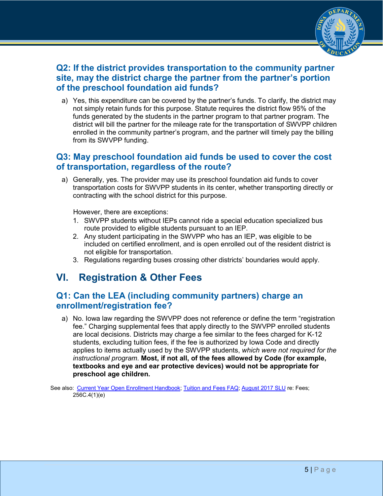

## **Q2: If the district provides transportation to the community partner site, may the district charge the partner from the partner's portion of the preschool foundation aid funds?**

a) Yes, this expenditure can be covered by the partner's funds. To clarify, the district may not simply retain funds for this purpose. Statute requires the district flow 95% of the funds generated by the students in the partner program to that partner program. The district will bill the partner for the mileage rate for the transportation of SWVPP children enrolled in the community partner's program, and the partner will timely pay the billing from its SWVPP funding.

#### **Q3: May preschool foundation aid funds be used to cover the cost of transportation, regardless of the route?**

a) Generally, yes. The provider may use its preschool foundation aid funds to cover transportation costs for SWVPP students in its center, whether transporting directly or contracting with the school district for this purpose.

However, there are exceptions:

- 1. SWVPP students without IEPs cannot ride a special education specialized bus route provided to eligible students pursuant to an IEP.
- 2. Any student participating in the SWVPP who has an IEP, was eligible to be included on certified enrollment, and is open enrolled out of the resident district is not eligible for transportation.
- 3. Regulations regarding buses crossing other districts' boundaries would apply.

## <span id="page-4-0"></span>**VI. Registration & Other Fees**

#### **Q1: Can the LEA (including community partners) charge an enrollment/registration fee?**

a) No. Iowa law regarding the SWVPP does not reference or define the term "registration fee." Charging supplemental fees that apply directly to the SWVPP enrolled students are local decisions. Districts may charge a fee similar to the fees charged for K-12 students, excluding tuition fees, if the fee is authorized by Iowa Code and directly applies to items actually used by the SWVPP students, *which were not required for the instructional program*. **Most, if not all, of the fees allowed by Code (for example, textbooks and eye and ear protective devices) would not be appropriate for preschool age children.**

See also: [Current Year Open Enrollment Handbook;](https://www.educateiowa.gov/pk-12/options-educational-choice/open-enrollment#Current_Handbook) [Tuition and Fees FAQ;](https://www.educateiowa.gov/sites/files/ed/documents/StudentFees-and-SchoolSuppliesFAQ3-25%2016.pdf) [August 2017 SLU](https://www.educateiowa.gov/documents/school-leader-update/2017/08/august-2017-school-leader-update) re: Fees; 256C.4(1)(e)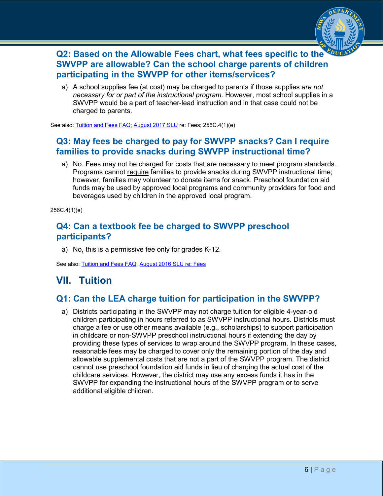

## **Q2: Based on the Allowable Fees chart, what fees specific to the SWVPP are allowable? Can the school charge parents of children participating in the SWVPP for other items/services?**

a) A school supplies fee (at cost) may be charged to parents if those supplies *are not necessary for or part of the instructional program*. However, most school supplies in a SWVPP would be a part of teacher-lead instruction and in that case could not be charged to parents.

See also[: Tuition and Fees FAQ;](https://www.educateiowa.gov/sites/files/ed/documents/StudentFees-and-SchoolSuppliesFAQ3-25%2016.pdf) [August 2017 SLU](https://www.educateiowa.gov/documents/school-leader-update/2017/08/august-2017-school-leader-update) re: Fees; 256C.4(1)(e)

### **Q3: May fees be charged to pay for SWVPP snacks? Can I require families to provide snacks during SWVPP instructional time?**

a) No. Fees may not be charged for costs that are necessary to meet program standards. Programs cannot require families to provide snacks during SWVPP instructional time; however, families may volunteer to donate items for snack. Preschool foundation aid funds may be used by approved local programs and community providers for food and beverages used by children in the approved local program.

256C.4(1)(e)

#### **Q4: Can a textbook fee be charged to SWVPP preschool participants?**

a) No, this is a permissive fee only for grades K-12.

See also: [Tuition and Fees FAQ,](https://www.educateiowa.gov/sites/files/ed/documents/StudentFees-and-SchoolSuppliesFAQ3-25%2016.pdf) [August 2016 SLU re: Fees](https://www.educateiowa.gov/resources/laws-and-regulations/legal-lessons/fees-0)

# <span id="page-5-0"></span>**VII. Tuition**

### **Q1: Can the LEA charge tuition for participation in the SWVPP?**

a) Districts participating in the SWVPP may not charge tuition for eligible 4-year-old children participating in hours referred to as SWVPP instructional hours. Districts must charge a fee or use other means available (e.g., scholarships) to support participation in childcare or non-SWVPP preschool instructional hours if extending the day by providing these types of services to wrap around the SWVPP program. In these cases, reasonable fees may be charged to cover only the remaining portion of the day and allowable supplemental costs that are not a part of the SWVPP program. The district cannot use preschool foundation aid funds in lieu of charging the actual cost of the childcare services. However, the district may use any excess funds it has in the SWVPP for expanding the instructional hours of the SWVPP program or to serve additional eligible children.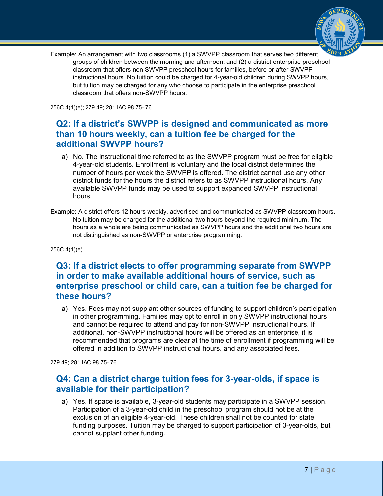

Example: An arrangement with two classrooms (1) a SWVPP classroom that serves two different groups of children between the morning and afternoon; and (2) a district enterprise preschool classroom that offers non SWVPP preschool hours for families, before or after SWVPP instructional hours. No tuition could be charged for 4-year-old children during SWVPP hours, but tuition may be charged for any who choose to participate in the enterprise preschool classroom that offers non-SWVPP hours.

256C.4(1)(e); 279.49; 281 IAC 98.75-.76

### **Q2: If a district's SWVPP is designed and communicated as more than 10 hours weekly, can a tuition fee be charged for the additional SWVPP hours?**

- a) No. The instructional time referred to as the SWVPP program must be free for eligible 4-year-old students. Enrollment is voluntary and the local district determines the number of hours per week the SWVPP is offered. The district cannot use any other district funds for the hours the district refers to as SWVPP instructional hours. Any available SWVPP funds may be used to support expanded SWVPP instructional hours.
- Example: A district offers 12 hours weekly, advertised and communicated as SWVPP classroom hours. No tuition may be charged for the additional two hours beyond the required minimum. The hours as a whole are being communicated as SWVPP hours and the additional two hours are not distinguished as non-SWVPP or enterprise programming.

256C.4(1)(e)

#### **Q3: If a district elects to offer programming separate from SWVPP in order to make available additional hours of service, such as enterprise preschool or child care, can a tuition fee be charged for these hours?**

a) Yes. Fees may not supplant other sources of funding to support children's participation in other programming. Families may opt to enroll in only SWVPP instructional hours and cannot be required to attend and pay for non-SWVPP instructional hours. If additional, non-SWVPP instructional hours will be offered as an enterprise, it is recommended that programs are clear at the time of enrollment if programming will be offered in addition to SWVPP instructional hours, and any associated fees.

279.49; 281 IAC 98.75-.76

#### **Q4: Can a district charge tuition fees for 3-year-olds, if space is available for their participation?**

a) Yes. If space is available, 3-year-old students may participate in a SWVPP session. Participation of a 3-year-old child in the preschool program should not be at the exclusion of an eligible 4-year-old. These children shall not be counted for state funding purposes. Tuition may be charged to support participation of 3-year-olds, but cannot supplant other funding.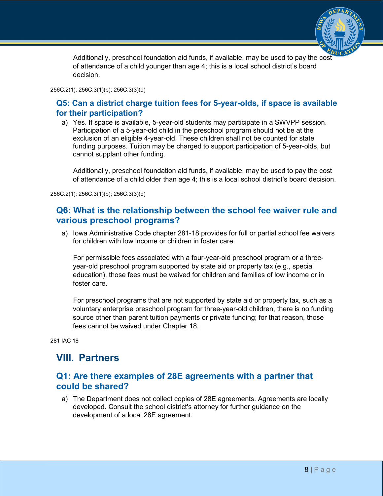

Additionally, preschool foundation aid funds, if available, may be used to pay the cost of attendance of a child younger than age 4; this is a local school district's board decision.

#### 256C.2(1); 256C.3(1)(b); 256C.3(3)(d)

#### **Q5: Can a district charge tuition fees for 5-year-olds, if space is available for their participation?**

a) Yes. If space is available, 5-year-old students may participate in a SWVPP session. Participation of a 5-year-old child in the preschool program should not be at the exclusion of an eligible 4-year-old. These children shall not be counted for state funding purposes. Tuition may be charged to support participation of 5-year-olds, but cannot supplant other funding.

Additionally, preschool foundation aid funds, if available, may be used to pay the cost of attendance of a child older than age 4; this is a local school district's board decision.

256C.2(1); 256C.3(1)(b); 256C.3(3)(d)

#### **Q6: What is the relationship between the school fee waiver rule and various preschool programs?**

a) Iowa Administrative Code chapter 281-18 provides for full or partial school fee waivers for children with low income or children in foster care.

For permissible fees associated with a four-year-old preschool program or a threeyear-old preschool program supported by state aid or property tax (e.g., special education), those fees must be waived for children and families of low income or in foster care.

For preschool programs that are not supported by state aid or property tax, such as a voluntary enterprise preschool program for three-year-old children, there is no funding source other than parent tuition payments or private funding; for that reason, those fees cannot be waived under Chapter 18.

281 IAC 18

## <span id="page-7-0"></span>**VIII. Partners**

#### **Q1: Are there examples of 28E agreements with a partner that could be shared?**

a) The Department does not collect copies of 28E agreements. Agreements are locally developed. Consult the school district's attorney for further guidance on the development of a local 28E agreement.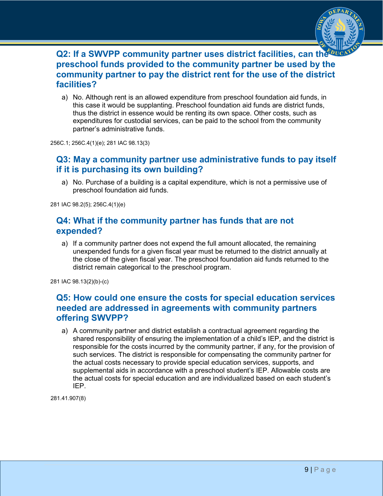

#### **Q2: If a SWVPP community partner uses district facilities, can the preschool funds provided to the community partner be used by the community partner to pay the district rent for the use of the district facilities?**

a) No. Although rent is an allowed expenditure from preschool foundation aid funds, in this case it would be supplanting. Preschool foundation aid funds are district funds, thus the district in essence would be renting its own space. Other costs, such as expenditures for custodial services, can be paid to the school from the community partner's administrative funds.

256C.1; 256C.4(1)(e); 281 IAC 98.13(3)

#### **Q3: May a community partner use administrative funds to pay itself if it is purchasing its own building?**

a) No. Purchase of a building is a capital expenditure, which is not a permissive use of preschool foundation aid funds.

281 IAC 98.2(5); 256C.4(1)(e)

#### **Q4: What if the community partner has funds that are not expended?**

a) If a community partner does not expend the full amount allocated, the remaining unexpended funds for a given fiscal year must be returned to the district annually at the close of the given fiscal year. The preschool foundation aid funds returned to the district remain categorical to the preschool program.

281 IAC 98.13(2)(b)-(c)

#### **Q5: How could one ensure the costs for special education services needed are addressed in agreements with community partners offering SWVPP?**

a) A community partner and district establish a contractual agreement regarding the shared responsibility of ensuring the implementation of a child's IEP, and the district is responsible for the costs incurred by the community partner, if any, for the provision of such services. The district is responsible for compensating the community partner for the actual costs necessary to provide special education services, supports, and supplemental aids in accordance with a preschool student's IEP. Allowable costs are the actual costs for special education and are individualized based on each student's IEP.

281.41.907(8)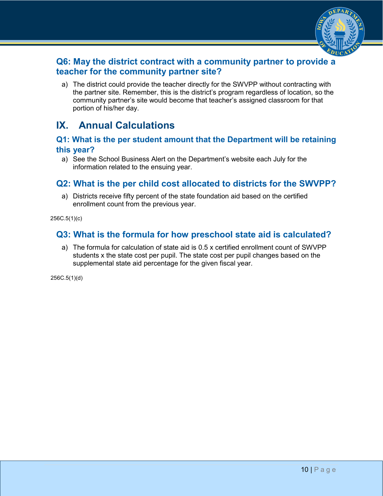

## **Q6: May the district contract with a community partner to provide a teacher for the community partner site?**

a) The district could provide the teacher directly for the SWVPP without contracting with the partner site. Remember, this is the district's program regardless of location, so the community partner's site would become that teacher's assigned classroom for that portion of his/her day.

## <span id="page-9-0"></span>**IX. Annual Calculations**

#### **Q1: What is the per student amount that the Department will be retaining this year?**

a) See the [School Business Alert](https://www.educateiowa.gov/pk-12/school-business-finance/financial-management/school-business-alerts) on the Department's website each July for the information related to the ensuing year.

### **Q2: What is the per child cost allocated to districts for the SWVPP?**

a) Districts receive fifty percent of the state foundation aid based on the certified enrollment count from the previous year.

256C.5(1)(c)

### **Q3: What is the formula for how preschool state aid is calculated?**

a) The formula for calculation of state aid is 0.5 x certified enrollment count of SWVPP students x the state cost per pupil. The state cost per pupil changes based on the supplemental state aid percentage for the given fiscal year.

256C.5(1)(d)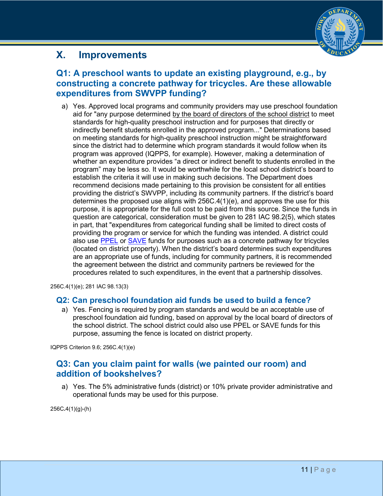## <span id="page-10-0"></span>**X. Improvements**



## **Q1: A preschool wants to update an existing playground, e.g., by constructing a concrete pathway for tricycles. Are these allowable expenditures from SWVPP funding?**

a) Yes. Approved local programs and community providers may use preschool foundation aid for "any purpose determined by the board of directors of the school district to meet standards for high-quality preschool instruction and for purposes that directly or indirectly benefit students enrolled in the approved program..." Determinations based on meeting standards for high-quality preschool instruction might be straightforward since the district had to determine which program standards it would follow when its program was approved (IQPPS, for example). However, making a determination of whether an expenditure provides "a direct or indirect benefit to students enrolled in the program" may be less so. It would be worthwhile for the local school district's board to establish the criteria it will use in making such decisions. The Department does recommend decisions made pertaining to this provision be consistent for all entities providing the district's SWVPP, including its community partners. If the district's board determines the proposed use aligns with 256C.4(1)(e), and approves the use for this purpose, it is appropriate for the full cost to be paid from this source. Since the funds in question are categorical, consideration must be given to 281 IAC 98.2(5), which states in part, that "expenditures from categorical funding shall be limited to direct costs of providing the program or service for which the funding was intended. A district could also use [PPEL](https://www.educateiowa.gov/pk-12/school-facilities/funding/physical-plant-and-equipment-levy-ppel) or [SAVE](https://www.educateiowa.gov/pk-12/school-facilities/funding/secure-advanced-vision-education-save) funds for purposes such as a concrete pathway for tricycles (located on district property). When the district's board determines such expenditures are an appropriate use of funds, including for community partners, it is recommended the agreement between the district and community partners be reviewed for the procedures related to such expenditures, in the event that a partnership dissolves.

256C.4(1)(e); 281 IAC 98.13(3)

#### **Q2: Can preschool foundation aid funds be used to build a fence?**

a) Yes. Fencing is required by program standards and would be an acceptable use of preschool foundation aid funding, based on approval by the local board of directors of the school district. The school district could also use PPEL or SAVE funds for this purpose, assuming the fence is located on district property.

IQPPS Criterion 9.6; 256C.4(1)(e)

#### **Q3: Can you claim paint for walls (we painted our room) and addition of bookshelves?**

a) Yes. The 5% administrative funds (district) or 10% private provider administrative and operational funds may be used for this purpose.

256C**.**4(1)(g)-(h)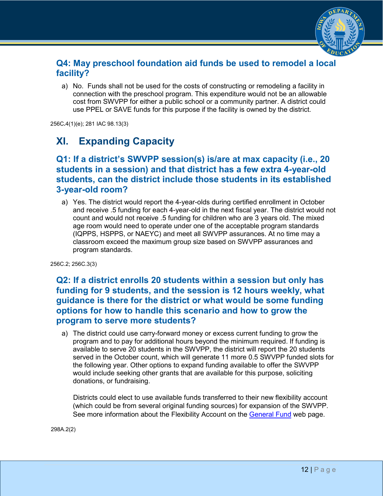

#### **Q4: May preschool foundation aid funds be used to remodel a local facility?**

a) No. Funds shall not be used for the costs of constructing or remodeling a facility in connection with the preschool program. This expenditure would not be an allowable cost from SWVPP for either a public school or a community partner. A district could use PPEL or SAVE funds for this purpose if the facility is owned by the district.

256C**.**4(1)(e); 281 IAC 98.13(3)

# <span id="page-11-0"></span>**XI. Expanding Capacity**

#### **Q1: If a district's SWVPP session(s) is/are at max capacity (i.e., 20 students in a session) and that district has a few extra 4-year-old students, can the district include those students in its established 3-year-old room?**

a) Yes. The district would report the 4-year-olds during certified enrollment in October and receive .5 funding for each 4-year-old in the next fiscal year. The district would not count and would not receive .5 funding for children who are 3 years old. The mixed age room would need to operate under one of the acceptable program standards (IQPPS, HSPPS, or NAEYC) and meet all SWVPP assurances. At no time may a classroom exceed the maximum group size based on SWVPP assurances and program standards.

256C.2; 256C.3(3)

#### **Q2: If a district enrolls 20 students within a session but only has funding for 9 students, and the session is 12 hours weekly, what guidance is there for the district or what would be some funding options for how to handle this scenario and how to grow the program to serve more students?**

a) The district could use carry-forward money or excess current funding to grow the program and to pay for additional hours beyond the minimum required. If funding is available to serve 20 students in the SWVPP, the district will report the 20 students served in the October count, which will generate 11 more 0.5 SWVPP funded slots for the following year. Other options to expand funding available to offer the SWVPP would include seeking other grants that are available for this purpose, soliciting donations, or fundraising.

Districts could elect to use available funds transferred to their new flexibility account (which could be from several original funding sources) for expansion of the SWVPP. See more information about the Flexibility Account on the [General Fund](https://educateiowa.gov/pk-12/school-business-finance/levies-funds/general-fund) web page.

298A.2(2)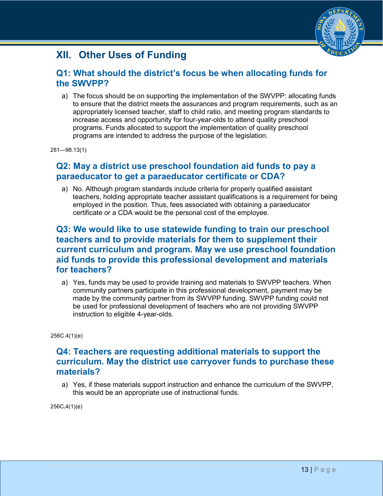

# <span id="page-12-0"></span>**XII. Other Uses of Funding**

#### **Q1: What should the district's focus be when allocating funds for the SWVPP?**

a) The focus should be on supporting the implementation of the SWVPP: allocating funds to ensure that the district meets the assurances and program requirements, such as an appropriately licensed teacher, staff to child ratio, and meeting program standards to increase access and opportunity for four-year-olds to attend quality preschool programs. Funds allocated to support the implementation of quality preschool programs are intended to address the purpose of the legislation.

281—98.13(1)

#### **Q2: May a district use preschool foundation aid funds to pay a paraeducator to get a paraeducator certificate or CDA?**

a) No. Although program standards include criteria for properly qualified assistant teachers, holding appropriate teacher assistant qualifications is a requirement for being employed in the position. Thus, fees associated with obtaining a paraeducator certificate or a CDA would be the personal cost of the employee.

#### **Q3: We would like to use statewide funding to train our preschool teachers and to provide materials for them to supplement their current curriculum and program. May we use preschool foundation aid funds to provide this professional development and materials for teachers?**

a) Yes, funds may be used to provide training and materials to SWVPP teachers. When community partners participate in this professional development, payment may be made by the community partner from its SWVPP funding. SWVPP funding could not be used for professional development of teachers who are not providing SWVPP instruction to eligible 4-year-olds.

256C.4(1)(e)

#### **Q4: Teachers are requesting additional materials to support the curriculum. May the district use carryover funds to purchase these materials?**

a) Yes, if these materials support instruction and enhance the curriculum of the SWVPP, this would be an appropriate use of instructional funds.

256C**.**4(1)(e)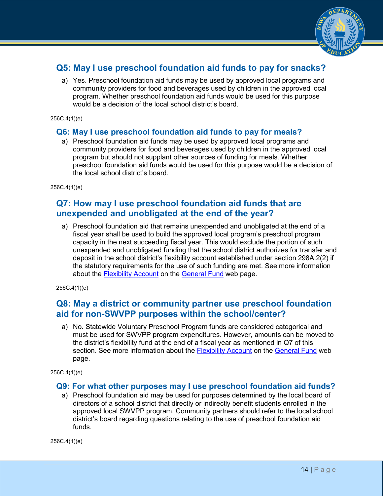

## **Q5: May I use preschool foundation aid funds to pay for snacks?**

a) Yes. Preschool foundation aid funds may be used by approved local programs and community providers for food and beverages used by children in the approved local program. Whether preschool foundation aid funds would be used for this purpose would be a decision of the local school district's board.

256C.4(1)(e)

#### **Q6: May I use preschool foundation aid funds to pay for meals?**

a) Preschool foundation aid funds may be used by approved local programs and community providers for food and beverages used by children in the approved local program but should not supplant other sources of funding for meals. Whether preschool foundation aid funds would be used for this purpose would be a decision of the local school district's board.

256C.4(1)(e)

#### **Q7: How may I use preschool foundation aid funds that are unexpended and unobligated at the end of the year?**

a) Preschool foundation aid that remains unexpended and unobligated at the end of a fiscal year shall be used to build the approved local program's preschool program capacity in the next succeeding fiscal year. This would exclude the portion of such unexpended and unobligated funding that the school district authorizes for transfer and deposit in the school district's flexibility account established under section 298A.2(2) if the statutory requirements for the use of such funding are met. See more information about the [Flexibility Account](https://educateiowa.gov/pk-12/school-business-finance/levies-funds/general-fund#Flexibility_Account) on the [General Fund](https://educateiowa.gov/pk-12/school-business-finance/levies-funds/general-fund) web page.

256C.4(1)(e)

#### **Q8: May a district or community partner use preschool foundation aid for non-SWVPP purposes within the school/center?**

a) No. Statewide Voluntary Preschool Program funds are considered categorical and must be used for SWVPP program expenditures. However, amounts can be moved to the district's flexibility fund at the end of a fiscal year as mentioned in Q7 of this section. See more information about the [Flexibility Account](https://educateiowa.gov/pk-12/school-business-finance/levies-funds/general-fund#Flexibility_Account) on the [General Fund](https://educateiowa.gov/pk-12/school-business-finance/levies-funds/general-fund) web page.

256C.4(1)(e)

#### **Q9: For what other purposes may I use preschool foundation aid funds?**

a) Preschool foundation aid may be used for purposes determined by the local board of directors of a school district that directly or indirectly benefit students enrolled in the approved local SWVPP program. Community partners should refer to the local school district's board regarding questions relating to the use of preschool foundation aid funds.

256C.4(1)(e)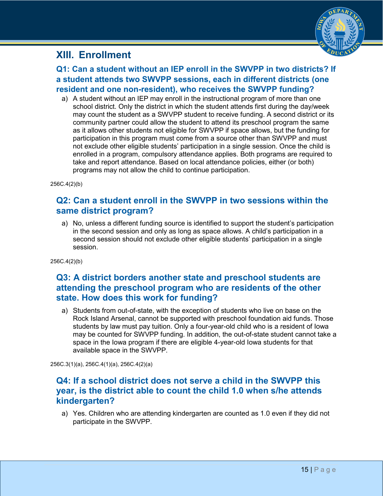## <span id="page-14-0"></span>**XIII. Enrollment**



**Q1: Can a student without an IEP enroll in the SWVPP in two districts? If a student attends two SWVPP sessions, each in different districts (one resident and one non-resident), who receives the SWVPP funding?**

a) A student without an IEP may enroll in the instructional program of more than one school district. Only the district in which the student attends first during the day/week may count the student as a SWVPP student to receive funding. A second district or its community partner could allow the student to attend its preschool program the same as it allows other students not eligible for SWVPP if space allows, but the funding for participation in this program must come from a source other than SWVPP and must not exclude other eligible students' participation in a single session. Once the child is enrolled in a program, compulsory attendance applies. Both programs are required to take and report attendance. Based on local attendance policies, either (or both) programs may not allow the child to continue participation.

256C.4(2)(b)

#### **Q2: Can a student enroll in the SWVPP in two sessions within the same district program?**

a) No, unless a different funding source is identified to support the student's participation in the second session and only as long as space allows. A child's participation in a second session should not exclude other eligible students' participation in a single session.

256C.4(2)(b)

#### **Q3: A district borders another state and preschool students are attending the preschool program who are residents of the other state. How does this work for funding?**

a) Students from out-of-state, with the exception of students who live on base on the Rock Island Arsenal, cannot be supported with preschool foundation aid funds. Those students by law must pay tuition. Only a four-year-old child who is a resident of Iowa may be counted for SWVPP funding. In addition, the out-of-state student cannot take a space in the Iowa program if there are eligible 4-year-old Iowa students for that available space in the SWVPP.

256C.3(1)(a), 256C.4(1)(a), 256C.4(2)(a)

#### **Q4: If a school district does not serve a child in the SWVPP this year, is the district able to count the child 1.0 when s/he attends kindergarten?**

a) Yes. Children who are attending kindergarten are counted as 1.0 even if they did not participate in the SWVPP.